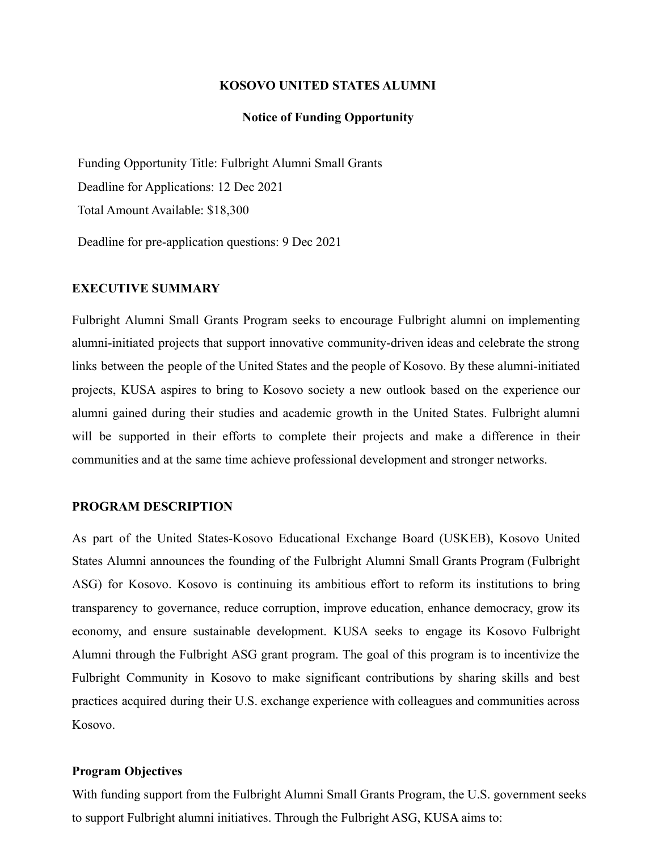#### **KOSOVO UNITED STATES ALUMNI**

#### **Notice of Funding Opportunity**

Funding Opportunity Title: Fulbright Alumni Small Grants Deadline for Applications: 12 Dec 2021 Total Amount Available: \$18,300

Deadline for pre-application questions: 9 Dec 2021

### **EXECUTIVE SUMMARY**

Fulbright Alumni Small Grants Program seeks to encourage Fulbright alumni on implementing alumni-initiated projects that support innovative community-driven ideas and celebrate the strong links between the people of the United States and the people of Kosovo. By these alumni-initiated projects, KUSA aspires to bring to Kosovo society a new outlook based on the experience our alumni gained during their studies and academic growth in the United States. Fulbright alumni will be supported in their efforts to complete their projects and make a difference in their communities and at the same time achieve professional development and stronger networks.

#### **PROGRAM DESCRIPTION**

As part of the United States-Kosovo Educational Exchange Board (USKEB), Kosovo United States Alumni announces the founding of the Fulbright Alumni Small Grants Program (Fulbright ASG) for Kosovo. Kosovo is continuing its ambitious effort to reform its institutions to bring transparency to governance, reduce corruption, improve education, enhance democracy, grow its economy, and ensure sustainable development. KUSA seeks to engage its Kosovo Fulbright Alumni through the Fulbright ASG grant program. The goal of this program is to incentivize the Fulbright Community in Kosovo to make significant contributions by sharing skills and best practices acquired during their U.S. exchange experience with colleagues and communities across Kosovo.

## **Program Objectives**

With funding support from the Fulbright Alumni Small Grants Program, the U.S. government seeks to support Fulbright alumni initiatives. Through the Fulbright ASG, KUSA aims to: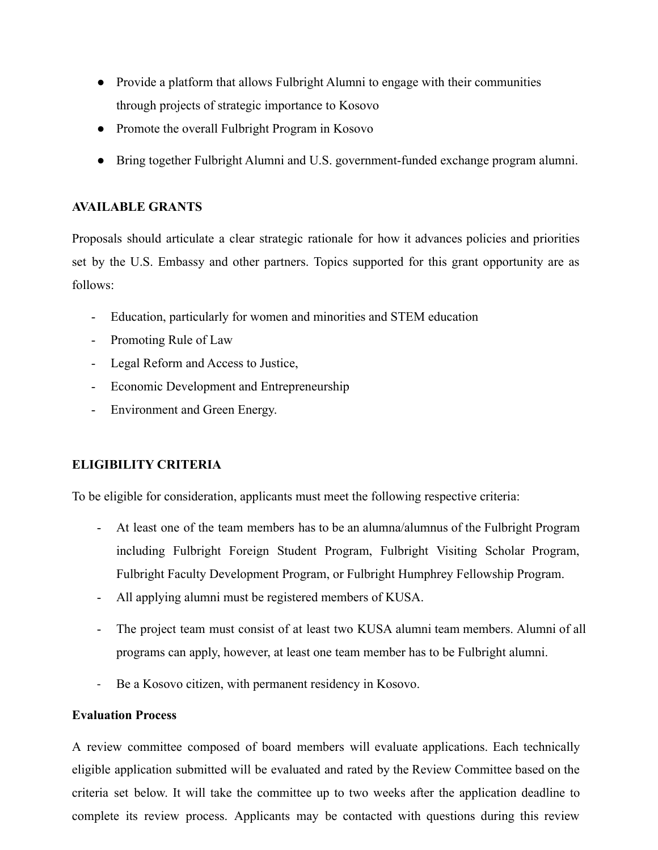- Provide a platform that allows Fulbright Alumni to engage with their communities through projects of strategic importance to Kosovo
- Promote the overall Fulbright Program in Kosovo
- Bring together Fulbright Alumni and U.S. government-funded exchange program alumni.

## **AVAILABLE GRANTS**

Proposals should articulate a clear strategic rationale for how it advances policies and priorities set by the U.S. Embassy and other partners. Topics supported for this grant opportunity are as follows:

- Education, particularly for women and minorities and STEM education
- Promoting Rule of Law
- Legal Reform and Access to Justice,
- Economic Development and Entrepreneurship
- Environment and Green Energy.

# **ELIGIBILITY CRITERIA**

To be eligible for consideration, applicants must meet the following respective criteria:

- At least one of the team members has to be an alumna/alumnus of the Fulbright Program including Fulbright Foreign Student Program, Fulbright Visiting Scholar Program, Fulbright Faculty Development Program, or Fulbright Humphrey Fellowship Program.
- All applying alumni must be registered members of KUSA.
- The project team must consist of at least two KUSA alumni team members. Alumni of all programs can apply, however, at least one team member has to be Fulbright alumni.
- Be a Kosovo citizen, with permanent residency in Kosovo.

## **Evaluation Process**

A review committee composed of board members will evaluate applications. Each technically eligible application submitted will be evaluated and rated by the Review Committee based on the criteria set below. It will take the committee up to two weeks after the application deadline to complete its review process. Applicants may be contacted with questions during this review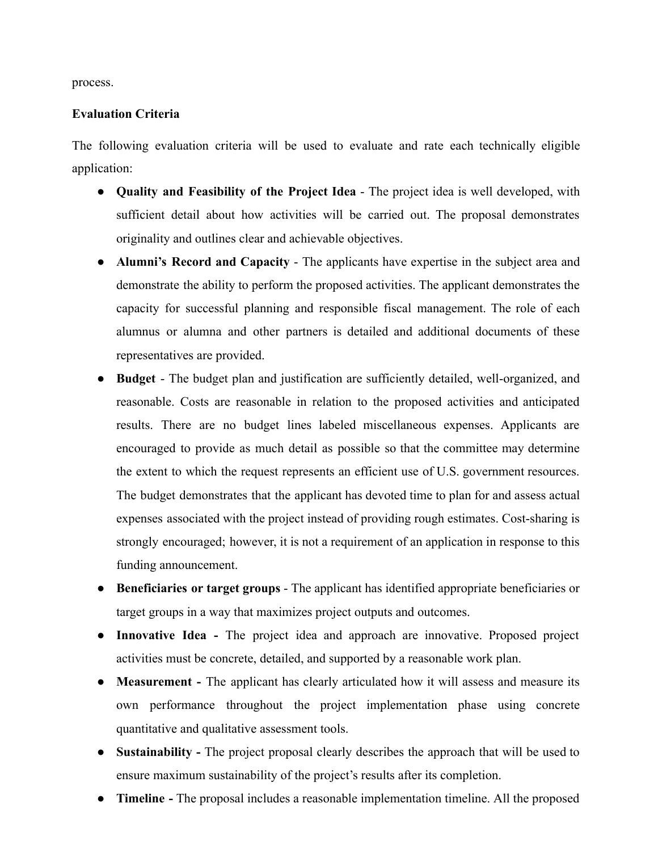process.

## **Evaluation Criteria**

The following evaluation criteria will be used to evaluate and rate each technically eligible application:

- **Quality and Feasibility of the Project Idea** The project idea is well developed, with sufficient detail about how activities will be carried out. The proposal demonstrates originality and outlines clear and achievable objectives.
- **Alumni's Record and Capacity** The applicants have expertise in the subject area and demonstrate the ability to perform the proposed activities. The applicant demonstrates the capacity for successful planning and responsible fiscal management. The role of each alumnus or alumna and other partners is detailed and additional documents of these representatives are provided.
- **Budget** The budget plan and justification are sufficiently detailed, well-organized, and reasonable. Costs are reasonable in relation to the proposed activities and anticipated results. There are no budget lines labeled miscellaneous expenses. Applicants are encouraged to provide as much detail as possible so that the committee may determine the extent to which the request represents an efficient use of U.S. government resources. The budget demonstrates that the applicant has devoted time to plan for and assess actual expenses associated with the project instead of providing rough estimates. Cost-sharing is strongly encouraged; however, it is not a requirement of an application in response to this funding announcement.
- **Beneficiaries or target groups** The applicant has identified appropriate beneficiaries or target groups in a way that maximizes project outputs and outcomes.
- **Innovative Idea -** The project idea and approach are innovative. Proposed project activities must be concrete, detailed, and supported by a reasonable work plan.
- **Measurement** The applicant has clearly articulated how it will assess and measure its own performance throughout the project implementation phase using concrete quantitative and qualitative assessment tools.
- **Sustainability -** The project proposal clearly describes the approach that will be used to ensure maximum sustainability of the project's results after its completion.
- **Timeline -** The proposal includes a reasonable implementation timeline. All the proposed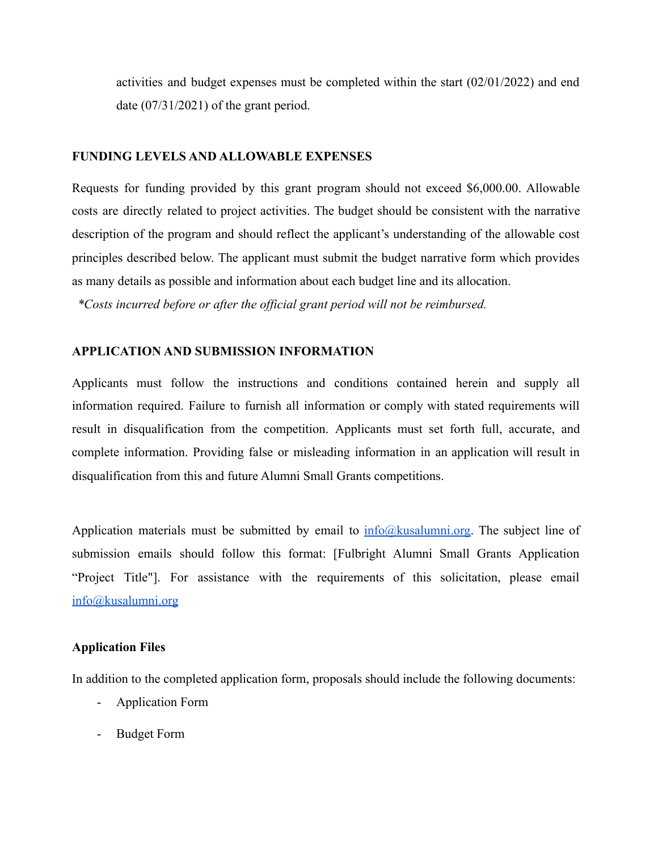activities and budget expenses must be completed within the start (02/01/2022) and end date (07/31/2021) of the grant period.

## **FUNDING LEVELS AND ALLOWABLE EXPENSES**

Requests for funding provided by this grant program should not exceed \$6,000.00. Allowable costs are directly related to project activities. The budget should be consistent with the narrative description of the program and should reflect the applicant's understanding of the allowable cost principles described below. The applicant must submit the budget narrative form which provides as many details as possible and information about each budget line and its allocation.

*\*Costs incurred before or after the official grant period will not be reimbursed.*

## **APPLICATION AND SUBMISSION INFORMATION**

Applicants must follow the instructions and conditions contained herein and supply all information required. Failure to furnish all information or comply with stated requirements will result in disqualification from the competition. Applicants must set forth full, accurate, and complete information. Providing false or misleading information in an application will result in disqualification from this and future Alumni Small Grants competitions.

Application materials must be submitted by email to  $\frac{info@kusalumni.org}{info@kusalumni.org}$  $\frac{info@kusalumni.org}{info@kusalumni.org}$  $\frac{info@kusalumni.org}{info@kusalumni.org}$ . The subject line of submission emails should follow this format: [Fulbright Alumni Small Grants Application "Project Title"]. For assistance with the requirements of this solicitation, please email [info@kusalumni.org](mailto:info@kusalumni.org)

## **Application Files**

In addition to the completed application form, proposals should include the following documents:

- Application Form
- Budget Form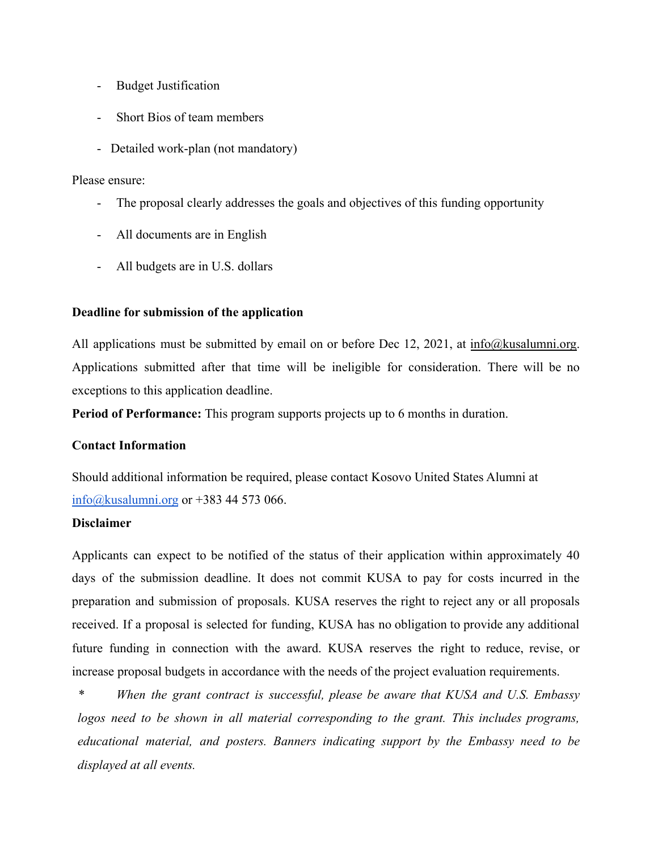- Budget Justification
- Short Bios of team members
- Detailed work-plan (not mandatory)

## Please ensure:

- The proposal clearly addresses the goals and objectives of this funding opportunity
- All documents are in English
- All budgets are in U.S. dollars

## **Deadline for submission of the application**

All applications must be submitted by email on or before Dec 12, 2021, at [info@kusalumni.org.](mailto:info@kusalumni.org) Applications submitted after that time will be ineligible for consideration. There will be no exceptions to this application deadline.

**Period of Performance:** This program supports projects up to 6 months in duration.

## **Contact Information**

Should additional information be required, please contact Kosovo United States Alumni at [info@kusalumni.org](mailto:info@kusalumni.org) or +383 44 573 066.

## **Disclaimer**

Applicants can expect to be notified of the status of their application within approximately 40 days of the submission deadline. It does not commit KUSA to pay for costs incurred in the preparation and submission of proposals. KUSA reserves the right to reject any or all proposals received. If a proposal is selected for funding, KUSA has no obligation to provide any additional future funding in connection with the award. KUSA reserves the right to reduce, revise, or increase proposal budgets in accordance with the needs of the project evaluation requirements.

*\* When the grant contract is successful, please be aware that KUSA and U.S. Embassy logos need to be shown in all material corresponding to the grant. This includes programs, educational material, and posters. Banners indicating support by the Embassy need to be displayed at all events.*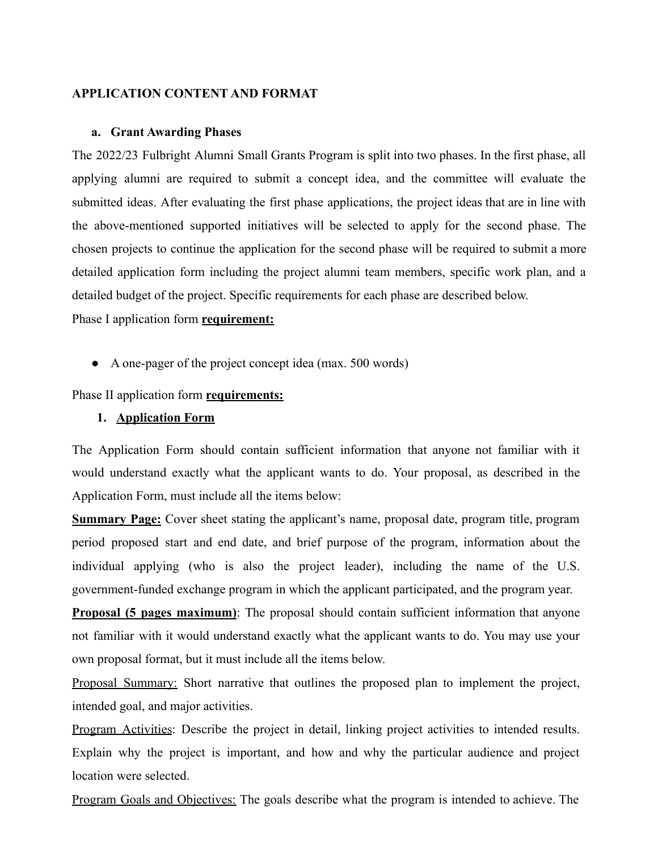## **APPLICATION CONTENT AND FORMAT**

#### **a. Grant Awarding Phases**

The 2022/23 Fulbright Alumni Small Grants Program is split into two phases. In the first phase, all applying alumni are required to submit a concept idea, and the committee will evaluate the submitted ideas. After evaluating the first phase applications, the project ideas that are in line with the above-mentioned supported initiatives will be selected to apply for the second phase. The chosen projects to continue the application for the second phase will be required to submit a more detailed application form including the project alumni team members, specific work plan, and a detailed budget of the project. Specific requirements for each phase are described below.

Phase I application form **requirement:**

● A one-pager of the project concept idea (max. 500 words)

Phase II application form **requirements:**

## **1. Application Form**

The Application Form should contain sufficient information that anyone not familiar with it would understand exactly what the applicant wants to do. Your proposal, as described in the Application Form, must include all the items below:

**Summary Page:** Cover sheet stating the applicant's name, proposal date, program title, program period proposed start and end date, and brief purpose of the program, information about the individual applying (who is also the project leader), including the name of the U.S. government-funded exchange program in which the applicant participated, and the program year.

**Proposal (5 pages maximum)**: The proposal should contain sufficient information that anyone not familiar with it would understand exactly what the applicant wants to do. You may use your own proposal format, but it must include all the items below.

Proposal Summary: Short narrative that outlines the proposed plan to implement the project, intended goal, and major activities.

Program Activities: Describe the project in detail, linking project activities to intended results. Explain why the project is important, and how and why the particular audience and project location were selected.

Program Goals and Objectives: The goals describe what the program is intended to achieve. The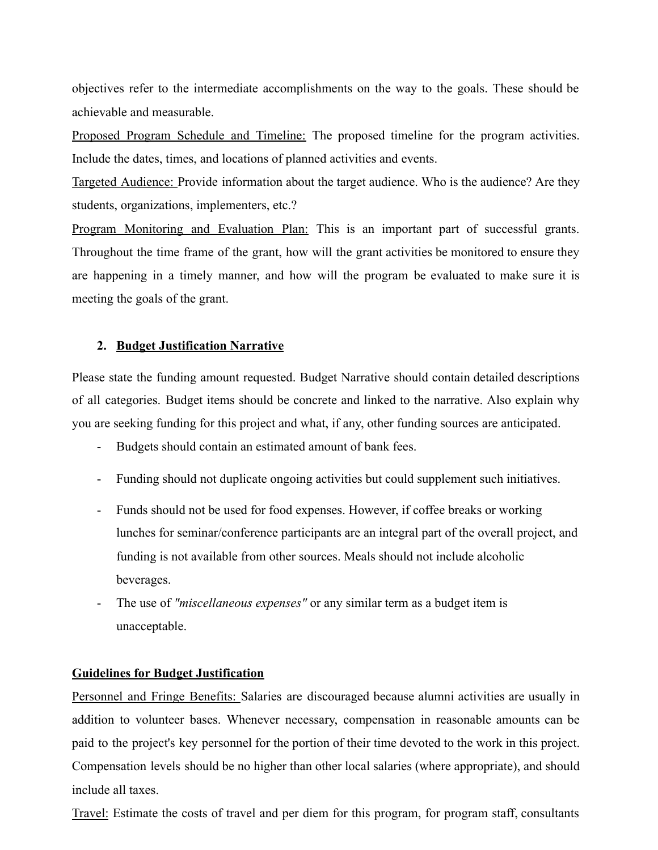objectives refer to the intermediate accomplishments on the way to the goals. These should be achievable and measurable.

Proposed Program Schedule and Timeline: The proposed timeline for the program activities. Include the dates, times, and locations of planned activities and events.

Targeted Audience: Provide information about the target audience. Who is the audience? Are they students, organizations, implementers, etc.?

Program Monitoring and Evaluation Plan: This is an important part of successful grants. Throughout the time frame of the grant, how will the grant activities be monitored to ensure they are happening in a timely manner, and how will the program be evaluated to make sure it is meeting the goals of the grant.

## **2. Budget Justification Narrative**

Please state the funding amount requested. Budget Narrative should contain detailed descriptions of all categories. Budget items should be concrete and linked to the narrative. Also explain why you are seeking funding for this project and what, if any, other funding sources are anticipated.

- Budgets should contain an estimated amount of bank fees.
- Funding should not duplicate ongoing activities but could supplement such initiatives.
- Funds should not be used for food expenses. However, if coffee breaks or working lunches for seminar/conference participants are an integral part of the overall project, and funding is not available from other sources. Meals should not include alcoholic beverages.
- The use of *"miscellaneous expenses"* or any similar term as a budget item is unacceptable.

## **Guidelines for Budget Justification**

Personnel and Fringe Benefits: Salaries are discouraged because alumni activities are usually in addition to volunteer bases. Whenever necessary, compensation in reasonable amounts can be paid to the project's key personnel for the portion of their time devoted to the work in this project. Compensation levels should be no higher than other local salaries (where appropriate), and should include all taxes.

Travel: Estimate the costs of travel and per diem for this program, for program staff, consultants